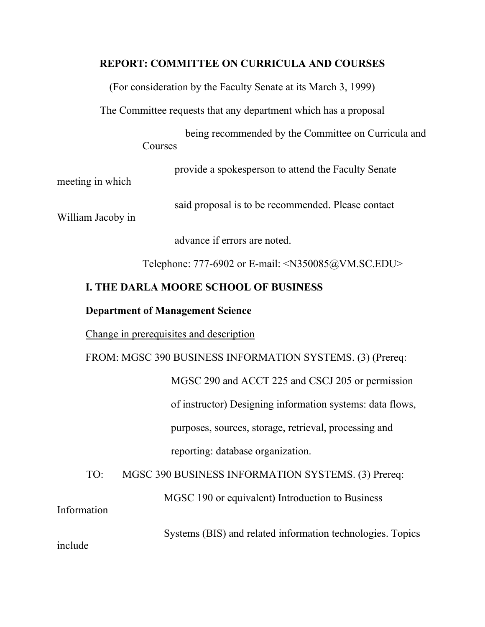## **REPORT: COMMITTEE ON CURRICULA AND COURSES**

(For consideration by the Faculty Senate at its March 3, 1999)

The Committee requests that any department which has a proposal

 being recommended by the Committee on Curricula and Courses

provide a spokesperson to attend the Faculty Senate

meeting in which

said proposal is to be recommended. Please contact

William Jacoby in

advance if errors are noted.

Telephone: 777-6902 or E-mail: <N350085@VM.SC.EDU>

# **I. THE DARLA MOORE SCHOOL OF BUSINESS**

## **Department of Management Science**

Change in prerequisites and description

FROM: MGSC 390 BUSINESS INFORMATION SYSTEMS. (3) (Prereq: MGSC 290 and ACCT 225 and CSCJ 205 or permission

> of instructor) Designing information systems: data flows, purposes, sources, storage, retrieval, processing and reporting: database organization.

TO: MGSC 390 BUSINESS INFORMATION SYSTEMS. (3) Prereq:

MGSC 190 or equivalent) Introduction to Business

Information

Systems (BIS) and related information technologies. Topics

include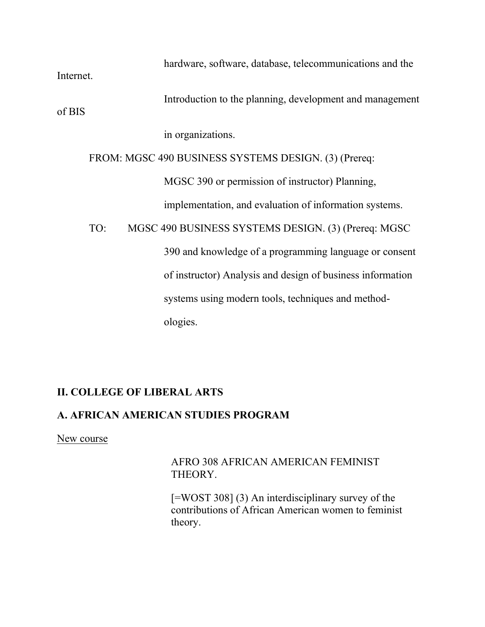hardware, software, database, telecommunications and the Internet. Introduction to the planning, development and management of BIS in organizations. FROM: MGSC 490 BUSINESS SYSTEMS DESIGN. (3) (Prereq: MGSC 390 or permission of instructor) Planning, implementation, and evaluation of information systems. TO: MGSC 490 BUSINESS SYSTEMS DESIGN. (3) (Prereq: MGSC 390 and knowledge of a programming language or consent of instructor) Analysis and design of business information systems using modern tools, techniques and method ologies.

# **II. COLLEGE OF LIBERAL ARTS**

# **A. AFRICAN AMERICAN STUDIES PROGRAM**

New course

AFRO 308 AFRICAN AMERICAN FEMINIST THEORY.

[=WOST 308] (3) An interdisciplinary survey of the contributions of African American women to feminist theory.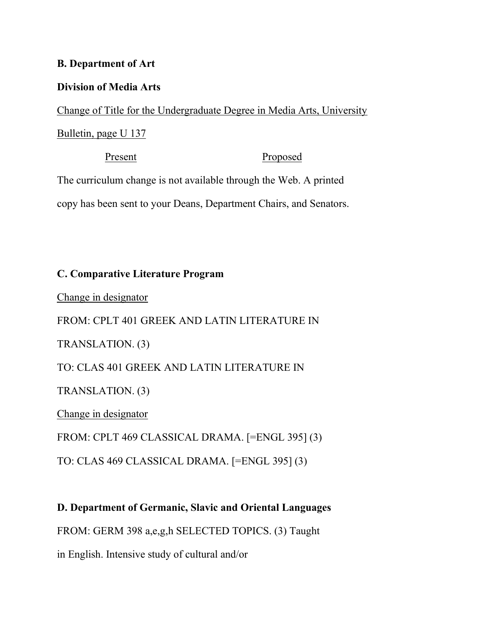## **B. Department of Art**

## **Division of Media Arts**

Change of Title for the Undergraduate Degree in Media Arts, University

# Bulletin, page U 137

Present Proposed The curriculum change is not available through the Web. A printed copy has been sent to your Deans, Department Chairs, and Senators.

# **C. Comparative Literature Program**

Change in designator

FROM: CPLT 401 GREEK AND LATIN LITERATURE IN TRANSLATION. (3) TO: CLAS 401 GREEK AND LATIN LITERATURE IN TRANSLATION. (3) Change in designator FROM: CPLT 469 CLASSICAL DRAMA. [=ENGL 395] (3) TO: CLAS 469 CLASSICAL DRAMA. [=ENGL 395] (3)

**D. Department of Germanic, Slavic and Oriental Languages** FROM: GERM 398 a,e,g,h SELECTED TOPICS. (3) Taught in English. Intensive study of cultural and/or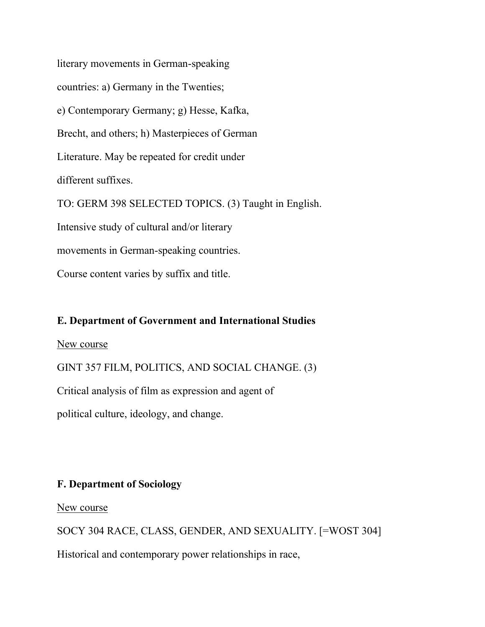literary movements in German-speaking countries: a) Germany in the Twenties; e) Contemporary Germany; g) Hesse, Kafka, Brecht, and others; h) Masterpieces of German Literature. May be repeated for credit under different suffixes. TO: GERM 398 SELECTED TOPICS. (3) Taught in English. Intensive study of cultural and/or literary movements in German-speaking countries. Course content varies by suffix and title.

# **E. Department of Government and International Studies**

New course

GINT 357 FILM, POLITICS, AND SOCIAL CHANGE. (3)

Critical analysis of film as expression and agent of

political culture, ideology, and change.

# **F. Department of Sociology**

New course

SOCY 304 RACE, CLASS, GENDER, AND SEXUALITY. [=WOST 304] Historical and contemporary power relationships in race,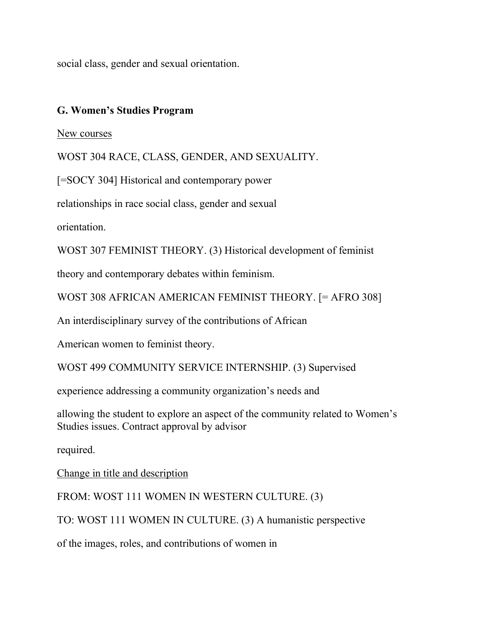social class, gender and sexual orientation.

## **G. Women's Studies Program**

## New courses

WOST 304 RACE, CLASS, GENDER, AND SEXUALITY.

[=SOCY 304] Historical and contemporary power

relationships in race social class, gender and sexual

orientation.

WOST 307 FEMINIST THEORY. (3) Historical development of feminist

theory and contemporary debates within feminism.

WOST 308 AFRICAN AMERICAN FEMINIST THEORY. [= AFRO 308]

An interdisciplinary survey of the contributions of African

American women to feminist theory.

WOST 499 COMMUNITY SERVICE INTERNSHIP. (3) Supervised

experience addressing a community organization's needs and

allowing the student to explore an aspect of the community related to Women's Studies issues. Contract approval by advisor

required.

Change in title and description

FROM: WOST 111 WOMEN IN WESTERN CULTURE. (3)

TO: WOST 111 WOMEN IN CULTURE. (3) A humanistic perspective

of the images, roles, and contributions of women in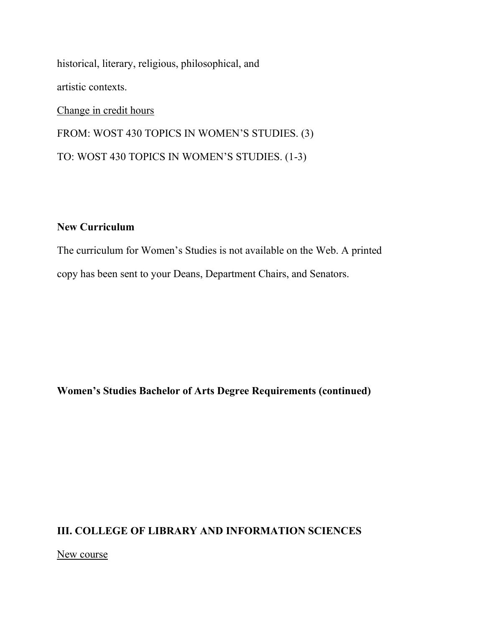historical, literary, religious, philosophical, and artistic contexts. Change in credit hours

FROM: WOST 430 TOPICS IN WOMEN'S STUDIES. (3) TO: WOST 430 TOPICS IN WOMEN'S STUDIES. (1-3)

## **New Curriculum**

The curriculum for Women's Studies is not available on the Web. A printed copy has been sent to your Deans, Department Chairs, and Senators.

**Women's Studies Bachelor of Arts Degree Requirements (continued)**

# **III. COLLEGE OF LIBRARY AND INFORMATION SCIENCES**

New course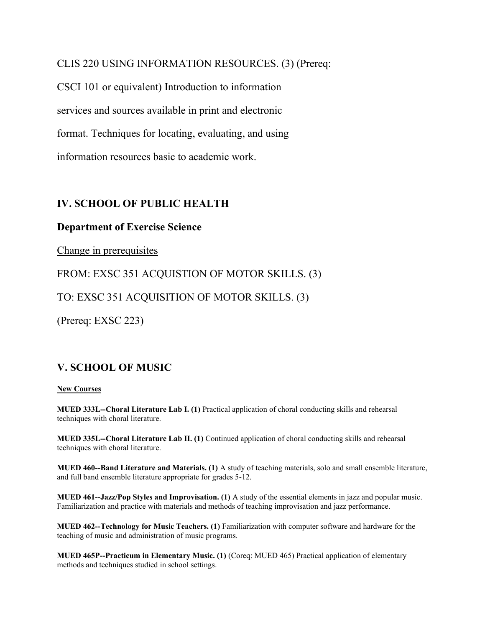CLIS 220 USING INFORMATION RESOURCES. (3) (Prereq:

CSCI 101 or equivalent) Introduction to information services and sources available in print and electronic format. Techniques for locating, evaluating, and using information resources basic to academic work.

## **IV. SCHOOL OF PUBLIC HEALTH**

## **Department of Exercise Science**

Change in prerequisites

FROM: EXSC 351 ACQUISTION OF MOTOR SKILLS. (3)

TO: EXSC 351 ACQUISITION OF MOTOR SKILLS. (3)

(Prereq: EXSC 223)

## **V. SCHOOL OF MUSIC**

## **New Courses**

**MUED 333L--Choral Literature Lab I. (1)** Practical application of choral conducting skills and rehearsal techniques with choral literature.

**MUED 335L--Choral Literature Lab II. (1)** Continued application of choral conducting skills and rehearsal techniques with choral literature.

**MUED 460--Band Literature and Materials. (1)** A study of teaching materials, solo and small ensemble literature, and full band ensemble literature appropriate for grades 5-12.

**MUED 461--Jazz/Pop Styles and Improvisation. (1)** A study of the essential elements in jazz and popular music. Familiarization and practice with materials and methods of teaching improvisation and jazz performance.

**MUED 462--Technology for Music Teachers. (1)** Familiarization with computer software and hardware for the teaching of music and administration of music programs.

**MUED 465P--Practicum in Elementary Music. (1)** (Coreq: MUED 465) Practical application of elementary methods and techniques studied in school settings.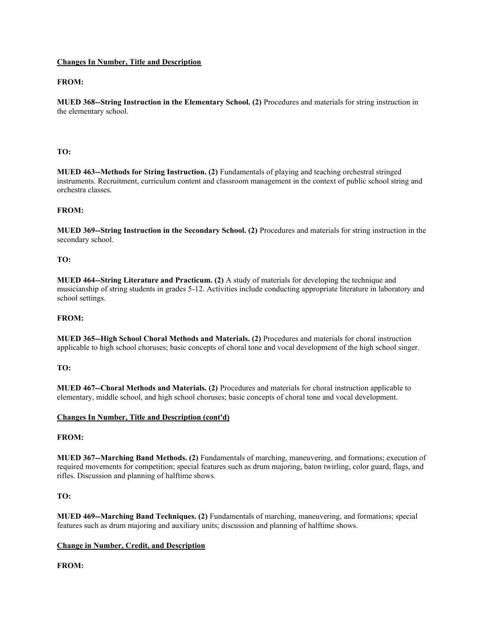## **Changes In Number, Title and Description**

## **FROM:**

**MUED 368--String Instruction in the Elementary School. (2)** Procedures and materials for string instruction in the elementary school.

## **TO:**

**MUED 463--Methods for String Instruction. (2)** Fundamentals of playing and teaching orchestral stringed instruments. Recruitment, curriculum content and classroom management in the context of public school string and orchestra classes.

#### **FROM:**

**MUED 369--String Instruction in the Secondary School. (2)** Procedures and materials for string instruction in the secondary school.

#### **TO:**

**MUED 464--String Literature and Practicum. (2)** A study of materials for developing the technique and musicianship of string students in grades 5-12. Activities include conducting appropriate literature in laboratory and school settings.

#### **FROM:**

**MUED 365--High School Choral Methods and Materials. (2)** Procedures and materials for choral instruction applicable to high school choruses; basic concepts of choral tone and vocal development of the high school singer.

#### **TO:**

**MUED 467--Choral Methods and Materials. (2)** Procedures and materials for choral instruction applicable to elementary, middle school, and high school choruses; basic concepts of choral tone and vocal development.

#### **Changes In Number, Title and Description (cont'd)**

### **FROM:**

**MUED 367--Marching Band Methods. (2)** Fundamentals of marching, maneuvering, and formations; execution of required movements for competition; special features such as drum majoring, baton twirling, color guard, flags, and rifles. Discussion and planning of halftime shows.

#### **TO:**

**MUED 469--Marching Band Techniques. (2)** Fundamentals of marching, maneuvering, and formations; special features such as drum majoring and auxiliary units; discussion and planning of halftime shows.

#### **Change in Number, Credit, and Description**

### **FROM:**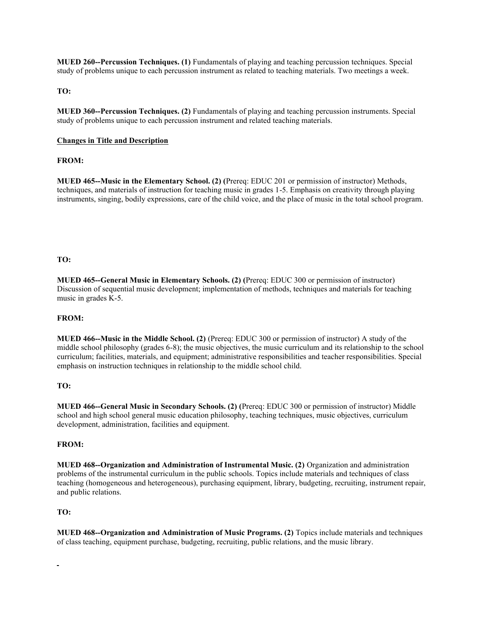**MUED 260--Percussion Techniques. (1)** Fundamentals of playing and teaching percussion techniques. Special study of problems unique to each percussion instrument as related to teaching materials. Two meetings a week.

#### **TO:**

**MUED 360--Percussion Techniques. (2)** Fundamentals of playing and teaching percussion instruments. Special study of problems unique to each percussion instrument and related teaching materials.

#### **Changes in Title and Description**

#### **FROM:**

**MUED 465--Music in the Elementary School. (2) (**Prereq: EDUC 201 or permission of instructor) Methods, techniques, and materials of instruction for teaching music in grades 1-5. Emphasis on creativity through playing instruments, singing, bodily expressions, care of the child voice, and the place of music in the total school program.

#### **TO:**

**MUED 465--General Music in Elementary Schools. (2) (**Prereq: EDUC 300 or permission of instructor) Discussion of sequential music development; implementation of methods, techniques and materials for teaching music in grades K-5.

#### **FROM:**

**MUED 466--Music in the Middle School. (2)** (Prereq: EDUC 300 or permission of instructor) A study of the middle school philosophy (grades 6-8); the music objectives, the music curriculum and its relationship to the school curriculum; facilities, materials, and equipment; administrative responsibilities and teacher responsibilities. Special emphasis on instruction techniques in relationship to the middle school child.

#### **TO:**

**MUED 466--General Music in Secondary Schools. (2) (**Prereq: EDUC 300 or permission of instructor) Middle school and high school general music education philosophy, teaching techniques, music objectives, curriculum development, administration, facilities and equipment.

#### **FROM:**

**MUED 468--Organization and Administration of Instrumental Music. (2)** Organization and administration problems of the instrumental curriculum in the public schools. Topics include materials and techniques of class teaching (homogeneous and heterogeneous), purchasing equipment, library, budgeting, recruiting, instrument repair, and public relations.

#### **TO:**

**MUED 468--Organization and Administration of Music Programs. (2)** Topics include materials and techniques of class teaching, equipment purchase, budgeting, recruiting, public relations, and the music library.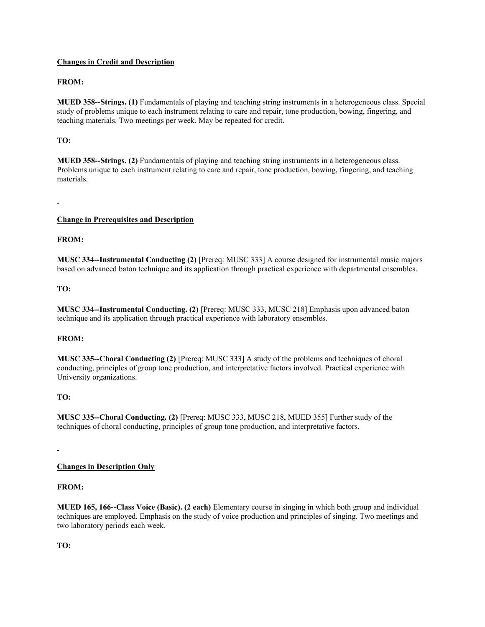## **Changes in Credit and Description**

## **FROM:**

**MUED 358--Strings. (1)** Fundamentals of playing and teaching string instruments in a heterogeneous class. Special study of problems unique to each instrument relating to care and repair, tone production, bowing, fingering, and teaching materials. Two meetings per week. May be repeated for credit.

## **TO:**

**MUED 358--Strings. (2)** Fundamentals of playing and teaching string instruments in a heterogeneous class. Problems unique to each instrument relating to care and repair, tone production, bowing, fingering, and teaching materials.

### **Change in Prerequisites and Description**

## **FROM:**

**MUSC 334--Instrumental Conducting (2)** [Prereq: MUSC 333] A course designed for instrumental music majors based on advanced baton technique and its application through practical experience with departmental ensembles.

### **TO:**

**MUSC 334--Instrumental Conducting. (2)** [Prereq: MUSC 333, MUSC 218] Emphasis upon advanced baton technique and its application through practical experience with laboratory ensembles.

### **FROM:**

**MUSC 335--Choral Conducting (2)** [Prereq: MUSC 333] A study of the problems and techniques of choral conducting, principles of group tone production, and interpretative factors involved. Practical experience with University organizations.

### **TO:**

**MUSC 335--Choral Conducting. (2)** [Prereq: MUSC 333, MUSC 218, MUED 355] Further study of the techniques of choral conducting, principles of group tone production, and interpretative factors.

### **Changes in Description Only**

### **FROM:**

**MUED 165, 166--Class Voice (Basic). (2 each)** Elementary course in singing in which both group and individual techniques are employed. Emphasis on the study of voice production and principles of singing. Two meetings and two laboratory periods each week.

**TO:**